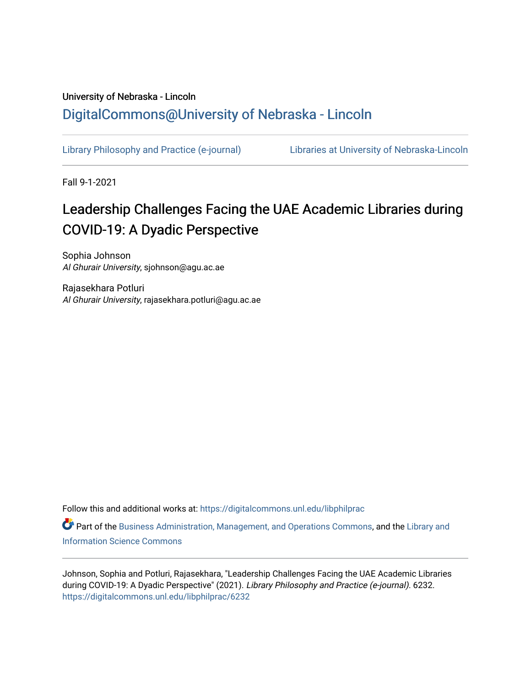## University of Nebraska - Lincoln [DigitalCommons@University of Nebraska - Lincoln](https://digitalcommons.unl.edu/)

[Library Philosophy and Practice \(e-journal\)](https://digitalcommons.unl.edu/libphilprac) [Libraries at University of Nebraska-Lincoln](https://digitalcommons.unl.edu/libraries) 

Fall 9-1-2021

# Leadership Challenges Facing the UAE Academic Libraries during COVID-19: A Dyadic Perspective

Sophia Johnson Al Ghurair University, sjohnson@agu.ac.ae

Rajasekhara Potluri Al Ghurair University, rajasekhara.potluri@agu.ac.ae

Follow this and additional works at: [https://digitalcommons.unl.edu/libphilprac](https://digitalcommons.unl.edu/libphilprac?utm_source=digitalcommons.unl.edu%2Flibphilprac%2F6232&utm_medium=PDF&utm_campaign=PDFCoverPages) 

Part of the [Business Administration, Management, and Operations Commons](http://network.bepress.com/hgg/discipline/623?utm_source=digitalcommons.unl.edu%2Flibphilprac%2F6232&utm_medium=PDF&utm_campaign=PDFCoverPages), and the Library and [Information Science Commons](http://network.bepress.com/hgg/discipline/1018?utm_source=digitalcommons.unl.edu%2Flibphilprac%2F6232&utm_medium=PDF&utm_campaign=PDFCoverPages) 

Johnson, Sophia and Potluri, Rajasekhara, "Leadership Challenges Facing the UAE Academic Libraries during COVID-19: A Dyadic Perspective" (2021). Library Philosophy and Practice (e-journal). 6232. [https://digitalcommons.unl.edu/libphilprac/6232](https://digitalcommons.unl.edu/libphilprac/6232?utm_source=digitalcommons.unl.edu%2Flibphilprac%2F6232&utm_medium=PDF&utm_campaign=PDFCoverPages)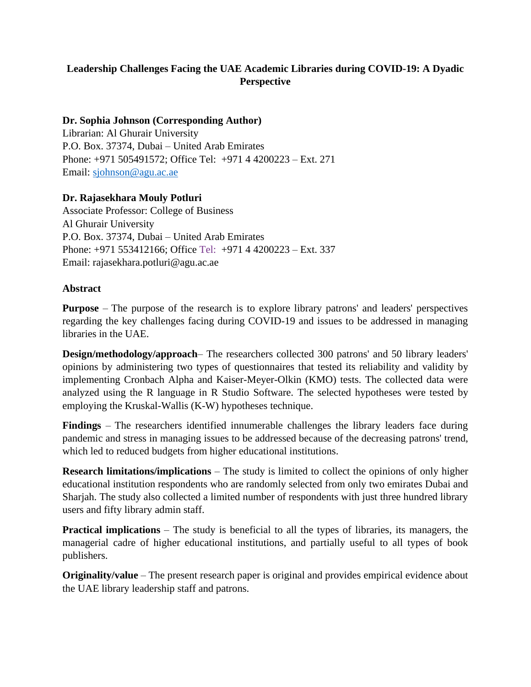## **Leadership Challenges Facing the UAE Academic Libraries during COVID-19: A Dyadic Perspective**

## **Dr. Sophia Johnson (Corresponding Author)**

Librarian: Al Ghurair University P.O. Box. 37374, Dubai – United Arab Emirates Phone: +971 505491572; Office Tel: +971 4 4200223 – Ext. 271 Email: [sjohnson@agu.ac.ae](mailto:sjohnson@agu.ac.ae)

## **Dr. Rajasekhara Mouly Potluri**

Associate Professor: College of Business Al Ghurair University P.O. Box. 37374, Dubai – United Arab Emirates Phone: +971 553412166; Office Tel: +971 4 4200223 – Ext. 337 Email: rajasekhara.potluri@agu.ac.ae

## **Abstract**

**Purpose** – The purpose of the research is to explore library patrons' and leaders' perspectives regarding the key challenges facing during COVID-19 and issues to be addressed in managing libraries in the UAE.

**Design/methodology/approach**– The researchers collected 300 patrons' and 50 library leaders' opinions by administering two types of questionnaires that tested its reliability and validity by implementing Cronbach Alpha and Kaiser-Meyer-Olkin (KMO) tests. The collected data were analyzed using the R language in R Studio Software. The selected hypotheses were tested by employing the Kruskal-Wallis (K-W) hypotheses technique.

**Findings** – The researchers identified innumerable challenges the library leaders face during pandemic and stress in managing issues to be addressed because of the decreasing patrons' trend, which led to reduced budgets from higher educational institutions.

**Research limitations/implications** – The study is limited to collect the opinions of only higher educational institution respondents who are randomly selected from only two emirates Dubai and Sharjah. The study also collected a limited number of respondents with just three hundred library users and fifty library admin staff.

**Practical implications** – The study is beneficial to all the types of libraries, its managers, the managerial cadre of higher educational institutions, and partially useful to all types of book publishers.

**Originality/value** – The present research paper is original and provides empirical evidence about the UAE library leadership staff and patrons.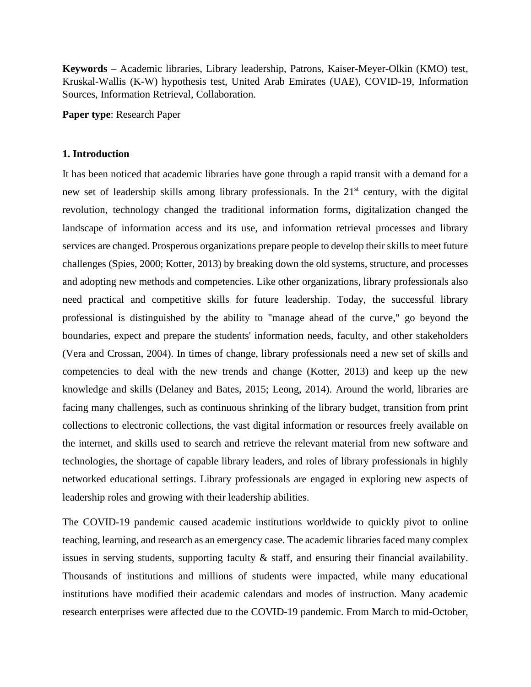**Keywords** – Academic libraries, Library leadership, Patrons, Kaiser-Meyer-Olkin (KMO) test, Kruskal-Wallis (K-W) hypothesis test, United Arab Emirates (UAE), COVID-19, Information Sources, Information Retrieval, Collaboration.

**Paper type**: Research Paper

#### **1. Introduction**

It has been noticed that academic libraries have gone through a rapid transit with a demand for a new set of leadership skills among library professionals. In the 21<sup>st</sup> century, with the digital revolution, technology changed the traditional information forms, digitalization changed the landscape of information access and its use, and information retrieval processes and library services are changed. Prosperous organizations prepare people to develop their skills to meet future challenges (Spies, 2000; Kotter, 2013) by breaking down the old systems, structure, and processes and adopting new methods and competencies. Like other organizations, library professionals also need practical and competitive skills for future leadership. Today, the successful library professional is distinguished by the ability to "manage ahead of the curve," go beyond the boundaries, expect and prepare the students' information needs, faculty, and other stakeholders (Vera and Crossan, 2004). In times of change, library professionals need a new set of skills and competencies to deal with the new trends and change (Kotter, 2013) and keep up the new knowledge and skills (Delaney and Bates, 2015; Leong, 2014). Around the world, libraries are facing many challenges, such as continuous shrinking of the library budget, transition from print collections to electronic collections, the vast digital information or resources freely available on the internet, and skills used to search and retrieve the relevant material from new software and technologies, the shortage of capable library leaders, and roles of library professionals in highly networked educational settings. Library professionals are engaged in exploring new aspects of leadership roles and growing with their leadership abilities.

The COVID-19 pandemic caused academic institutions worldwide to quickly pivot to online teaching, learning, and research as an emergency case. The academic libraries faced many complex issues in serving students, supporting faculty & staff, and ensuring their financial availability. Thousands of institutions and millions of students were impacted, while many educational institutions have modified their academic calendars and modes of instruction. Many academic research enterprises were affected due to the COVID-19 pandemic. From March to mid-October,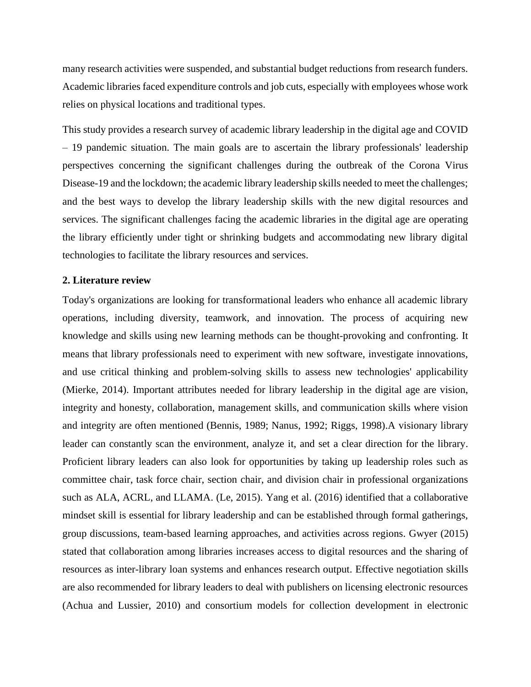many research activities were suspended, and substantial budget reductions from research funders. Academic libraries faced expenditure controls and job cuts, especially with employees whose work relies on physical locations and traditional types.

This study provides a research survey of academic library leadership in the digital age and COVID – 19 pandemic situation. The main goals are to ascertain the library professionals' leadership perspectives concerning the significant challenges during the outbreak of the Corona Virus Disease-19 and the lockdown; the academic library leadership skills needed to meet the challenges; and the best ways to develop the library leadership skills with the new digital resources and services. The significant challenges facing the academic libraries in the digital age are operating the library efficiently under tight or shrinking budgets and accommodating new library digital technologies to facilitate the library resources and services.

#### **2. Literature review**

Today's organizations are looking for transformational leaders who enhance all academic library operations, including diversity, teamwork, and innovation. The process of acquiring new knowledge and skills using new learning methods can be thought-provoking and confronting. It means that library professionals need to experiment with new software, investigate innovations, and use critical thinking and problem-solving skills to assess new technologies' applicability (Mierke, 2014). Important attributes needed for library leadership in the digital age are vision, integrity and honesty, collaboration, management skills, and communication skills where vision and integrity are often mentioned (Bennis, 1989; Nanus, 1992; Riggs, 1998).A visionary library leader can constantly scan the environment, analyze it, and set a clear direction for the library. Proficient library leaders can also look for opportunities by taking up leadership roles such as committee chair, task force chair, section chair, and division chair in professional organizations such as ALA, ACRL, and LLAMA. (Le, 2015). Yang et al. (2016) identified that a collaborative mindset skill is essential for library leadership and can be established through formal gatherings, group discussions, team-based learning approaches, and activities across regions. Gwyer (2015) stated that collaboration among libraries increases access to digital resources and the sharing of resources as inter-library loan systems and enhances research output. Effective negotiation skills are also recommended for library leaders to deal with publishers on licensing electronic resources (Achua and Lussier, 2010) and consortium models for collection development in electronic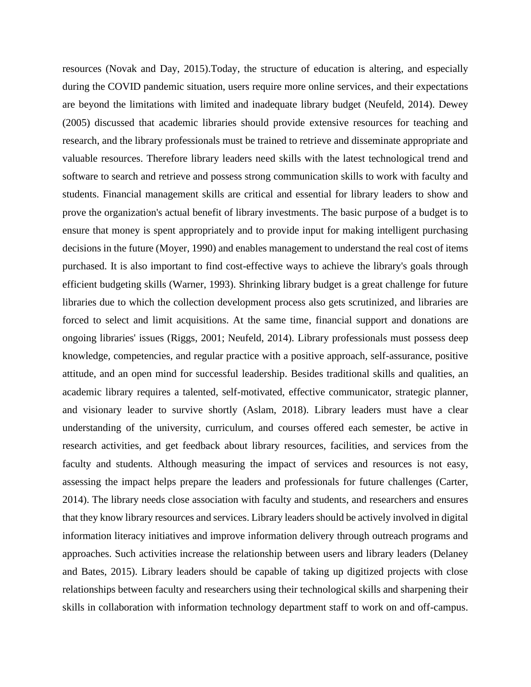resources (Novak and Day, 2015).Today, the structure of education is altering, and especially during the COVID pandemic situation, users require more online services, and their expectations are beyond the limitations with limited and inadequate library budget (Neufeld, 2014). Dewey (2005) discussed that academic libraries should provide extensive resources for teaching and research, and the library professionals must be trained to retrieve and disseminate appropriate and valuable resources. Therefore library leaders need skills with the latest technological trend and software to search and retrieve and possess strong communication skills to work with faculty and students. Financial management skills are critical and essential for library leaders to show and prove the organization's actual benefit of library investments. The basic purpose of a budget is to ensure that money is spent appropriately and to provide input for making intelligent purchasing decisions in the future (Moyer, 1990) and enables management to understand the real cost of items purchased. It is also important to find cost-effective ways to achieve the library's goals through efficient budgeting skills (Warner, 1993). Shrinking library budget is a great challenge for future libraries due to which the collection development process also gets scrutinized, and libraries are forced to select and limit acquisitions. At the same time, financial support and donations are ongoing libraries' issues (Riggs, 2001; Neufeld, 2014). Library professionals must possess deep knowledge, competencies, and regular practice with a positive approach, self-assurance, positive attitude, and an open mind for successful leadership. Besides traditional skills and qualities, an academic library requires a talented, self-motivated, effective communicator, strategic planner, and visionary leader to survive shortly (Aslam, 2018). Library leaders must have a clear understanding of the university, curriculum, and courses offered each semester, be active in research activities, and get feedback about library resources, facilities, and services from the faculty and students. Although measuring the impact of services and resources is not easy, assessing the impact helps prepare the leaders and professionals for future challenges (Carter, 2014). The library needs close association with faculty and students, and researchers and ensures that they know library resources and services. Library leaders should be actively involved in digital information literacy initiatives and improve information delivery through outreach programs and approaches. Such activities increase the relationship between users and library leaders (Delaney and Bates, 2015). Library leaders should be capable of taking up digitized projects with close relationships between faculty and researchers using their technological skills and sharpening their skills in collaboration with information technology department staff to work on and off-campus.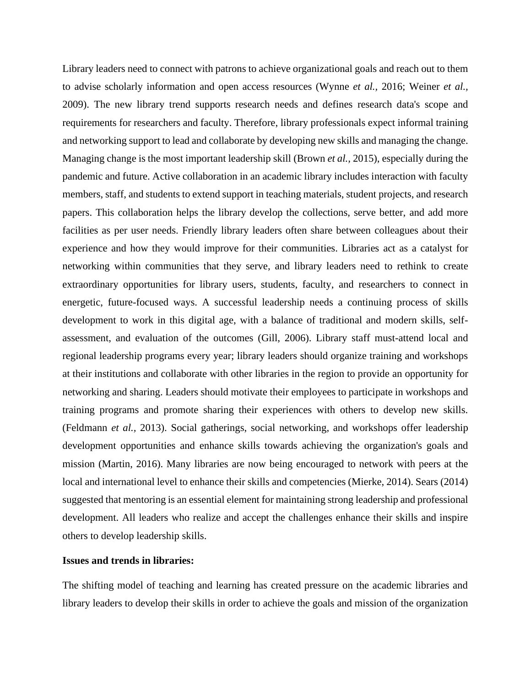Library leaders need to connect with patrons to achieve organizational goals and reach out to them to advise scholarly information and open access resources (Wynne *et al.,* 2016; Weiner *et al.,* 2009). The new library trend supports research needs and defines research data's scope and requirements for researchers and faculty. Therefore, library professionals expect informal training and networking support to lead and collaborate by developing new skills and managing the change. Managing change is the most important leadership skill (Brown *et al.,* 2015), especially during the pandemic and future. Active collaboration in an academic library includes interaction with faculty members, staff, and students to extend support in teaching materials, student projects, and research papers. This collaboration helps the library develop the collections, serve better, and add more facilities as per user needs. Friendly library leaders often share between colleagues about their experience and how they would improve for their communities. Libraries act as a catalyst for networking within communities that they serve, and library leaders need to rethink to create extraordinary opportunities for library users, students, faculty, and researchers to connect in energetic, future-focused ways. A successful leadership needs a continuing process of skills development to work in this digital age, with a balance of traditional and modern skills, selfassessment, and evaluation of the outcomes (Gill, 2006). Library staff must-attend local and regional leadership programs every year; library leaders should organize training and workshops at their institutions and collaborate with other libraries in the region to provide an opportunity for networking and sharing. Leaders should motivate their employees to participate in workshops and training programs and promote sharing their experiences with others to develop new skills. (Feldmann *et al.,* 2013). Social gatherings, social networking, and workshops offer leadership development opportunities and enhance skills towards achieving the organization's goals and mission (Martin, 2016). Many libraries are now being encouraged to network with peers at the local and international level to enhance their skills and competencies (Mierke, 2014). Sears (2014) suggested that mentoring is an essential element for maintaining strong leadership and professional development. All leaders who realize and accept the challenges enhance their skills and inspire others to develop leadership skills.

#### **Issues and trends in libraries:**

The shifting model of teaching and learning has created pressure on the academic libraries and library leaders to develop their skills in order to achieve the goals and mission of the organization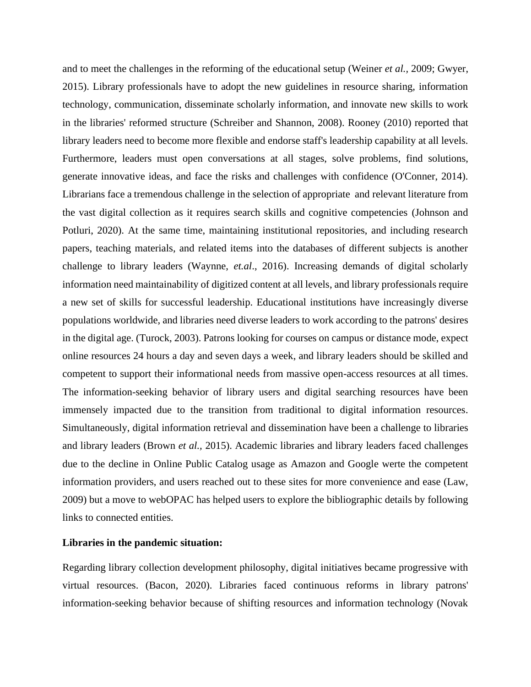and to meet the challenges in the reforming of the educational setup (Weiner *et al.,* 2009; Gwyer, 2015). Library professionals have to adopt the new guidelines in resource sharing, information technology, communication, disseminate scholarly information, and innovate new skills to work in the libraries' reformed structure (Schreiber and Shannon, 2008). Rooney (2010) reported that library leaders need to become more flexible and endorse staff's leadership capability at all levels. Furthermore, leaders must open conversations at all stages, solve problems, find solutions, generate innovative ideas, and face the risks and challenges with confidence (O'Conner, 2014). Librarians face a tremendous challenge in the selection of appropriate and relevant literature from the vast digital collection as it requires search skills and cognitive competencies (Johnson and Potluri, 2020). At the same time, maintaining institutional repositories, and including research papers, teaching materials, and related items into the databases of different subjects is another challenge to library leaders (Waynne, *et.al*., 2016). Increasing demands of digital scholarly information need maintainability of digitized content at all levels, and library professionals require a new set of skills for successful leadership. Educational institutions have increasingly diverse populations worldwide, and libraries need diverse leaders to work according to the patrons' desires in the digital age. (Turock, 2003). Patrons looking for courses on campus or distance mode, expect online resources 24 hours a day and seven days a week, and library leaders should be skilled and competent to support their informational needs from massive open-access resources at all times. The information-seeking behavior of library users and digital searching resources have been immensely impacted due to the transition from traditional to digital information resources. Simultaneously, digital information retrieval and dissemination have been a challenge to libraries and library leaders (Brown *et al.,* 2015). Academic libraries and library leaders faced challenges due to the decline in Online Public Catalog usage as Amazon and Google werte the competent information providers, and users reached out to these sites for more convenience and ease (Law, 2009) but a move to webOPAC has helped users to explore the bibliographic details by following links to connected entities.

#### **Libraries in the pandemic situation:**

Regarding library collection development philosophy, digital initiatives became progressive with virtual resources. (Bacon, 2020). Libraries faced continuous reforms in library patrons' information-seeking behavior because of shifting resources and information technology (Novak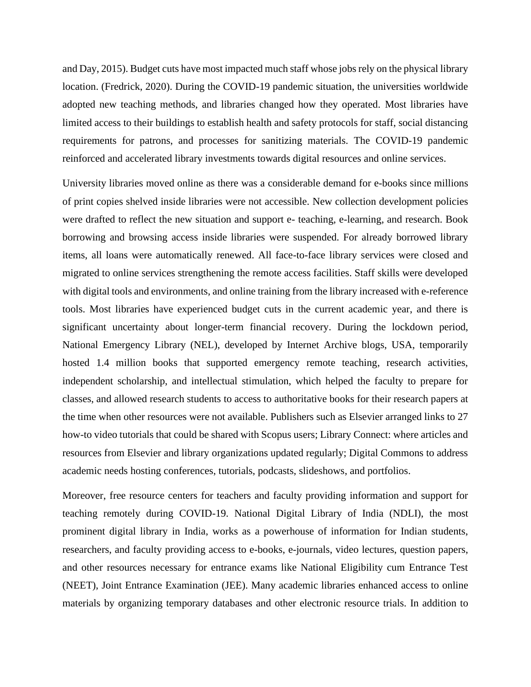and Day, 2015). Budget cuts have most impacted much staff whose jobs rely on the physical library location. (Fredrick, 2020). During the COVID-19 pandemic situation, the universities worldwide adopted new teaching methods, and libraries changed how they operated. Most libraries have limited access to their buildings to establish health and safety protocols for staff, social distancing requirements for patrons, and processes for sanitizing materials. The COVID-19 pandemic reinforced and accelerated library investments towards digital resources and online services.

University libraries moved online as there was a considerable demand for e-books since millions of print copies shelved inside libraries were not accessible. New collection development policies were drafted to reflect the new situation and support e- teaching, e-learning, and research. Book borrowing and browsing access inside libraries were suspended. For already borrowed library items, all loans were automatically renewed. All face-to-face library services were closed and migrated to online services strengthening the remote access facilities. Staff skills were developed with digital tools and environments, and online training from the library increased with e-reference tools. Most libraries have experienced budget cuts in the current academic year, and there is significant uncertainty about longer-term financial recovery. During the lockdown period, National Emergency Library (NEL), developed by Internet Archive blogs, USA, temporarily hosted 1.4 million books that supported emergency remote teaching, research activities, independent scholarship, and intellectual stimulation, which helped the faculty to prepare for classes, and allowed research students to access to authoritative books for their research papers at the time when other resources were not available. Publishers such as Elsevier arranged links to 27 how-to video tutorials that could be shared with Scopus users; Library Connect: where articles and resources from Elsevier and library organizations updated regularly; Digital Commons to address academic needs hosting conferences, tutorials, podcasts, slideshows, and portfolios.

Moreover, free resource centers for teachers and faculty providing information and support for teaching remotely during COVID-19. National Digital Library of India (NDLI), the most prominent digital library in India, works as a powerhouse of information for Indian students, researchers, and faculty providing access to e-books, e-journals, video lectures, question papers, and other resources necessary for entrance exams like National Eligibility cum Entrance Test (NEET), Joint Entrance Examination (JEE). Many academic libraries enhanced access to online materials by organizing temporary databases and other electronic resource trials. In addition to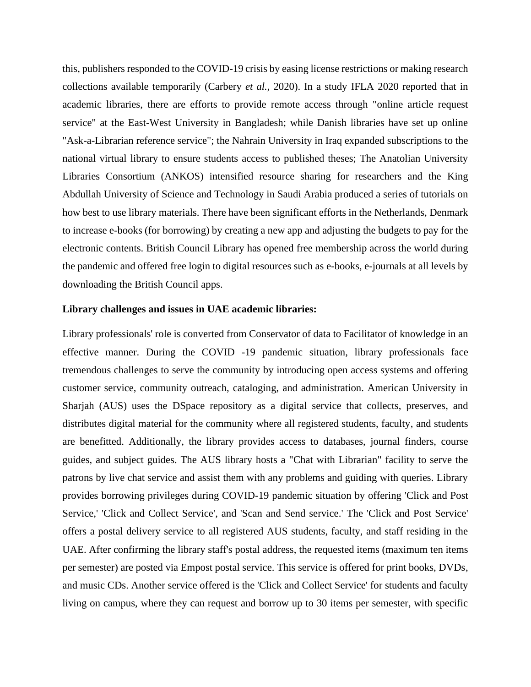this, publishers responded to the COVID-19 crisis by easing license restrictions or making research collections available temporarily (Carbery *et al.,* 2020). In a study IFLA 2020 reported that in academic libraries, there are efforts to provide remote access through "online article request service" at the East-West University in Bangladesh; while Danish libraries have set up online "Ask-a-Librarian reference service"; the Nahrain University in Iraq expanded subscriptions to the national virtual library to ensure students access to published theses; The Anatolian University Libraries Consortium (ANKOS) intensified resource sharing for researchers and the King Abdullah University of Science and Technology in Saudi Arabia produced a series of tutorials on how best to use library materials. There have been significant efforts in the Netherlands, Denmark to increase e-books (for borrowing) by creating a new app and adjusting the budgets to pay for the electronic contents. British Council Library has opened free membership across the world during the pandemic and offered free login to digital resources such as e-books, e-journals at all levels by downloading the British Council apps.

#### **Library challenges and issues in UAE academic libraries:**

Library professionals' role is converted from Conservator of data to Facilitator of knowledge in an effective manner. During the COVID -19 pandemic situation, library professionals face tremendous challenges to serve the community by introducing open access systems and offering customer service, community outreach, cataloging, and administration. American University in Sharjah (AUS) uses the DSpace repository as a digital service that collects, preserves, and distributes digital material for the community where all registered students, faculty, and students are benefitted. Additionally, the library provides access to databases, journal finders, course guides, and subject guides. The AUS library hosts a "Chat with Librarian" facility to serve the patrons by live chat service and assist them with any problems and guiding with queries. Library provides borrowing privileges during COVID-19 pandemic situation by offering 'Click and Post Service,' 'Click and Collect Service', and 'Scan and Send service.' The 'Click and Post Service' offers a postal delivery service to all registered AUS students, faculty, and staff residing in the UAE. After confirming the library staff's postal address, the requested items (maximum ten items per semester) are posted via Empost postal service. This service is offered for print books, DVDs, and music CDs. Another service offered is the 'Click and Collect Service' for students and faculty living on campus, where they can request and borrow up to 30 items per semester, with specific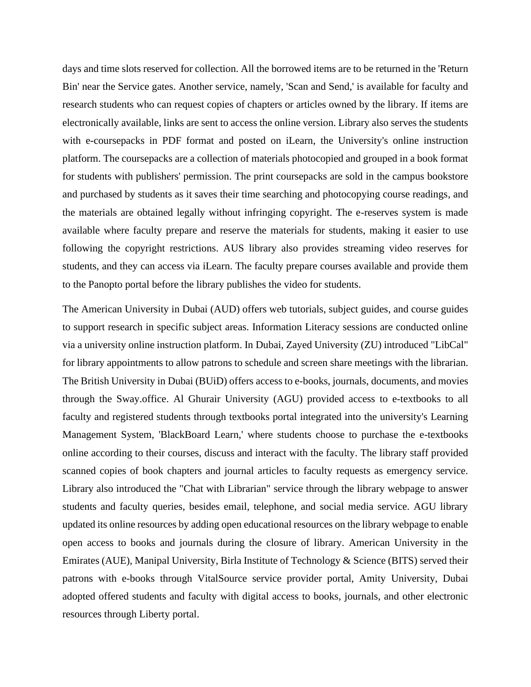days and time slots reserved for collection. All the borrowed items are to be returned in the 'Return Bin' near the Service gates. Another service, namely, 'Scan and Send,' is available for faculty and research students who can request copies of chapters or articles owned by the library. If items are electronically available, links are sent to access the online version. Library also serves the students with e-coursepacks in PDF format and posted on iLearn, the University's online instruction platform. The coursepacks are a collection of materials photocopied and grouped in a book format for students with publishers' permission. The print coursepacks are sold in the campus bookstore and purchased by students as it saves their time searching and photocopying course readings, and the materials are obtained legally without infringing copyright. The e-reserves system is made available where faculty prepare and reserve the materials for students, making it easier to use following the copyright restrictions. AUS library also provides streaming video reserves for students, and they can access via iLearn. The faculty prepare courses available and provide them to the Panopto portal before the library publishes the video for students.

The American University in Dubai (AUD) offers web tutorials, subject guides, and course guides to support research in specific subject areas. Information Literacy sessions are conducted online via a university online instruction platform. In Dubai, Zayed University (ZU) introduced "LibCal" for library appointments to allow patrons to schedule and screen share meetings with the librarian. The British University in Dubai (BUiD) offers access to e-books, journals, documents, and movies through the Sway.office. Al Ghurair University (AGU) provided access to e-textbooks to all faculty and registered students through textbooks portal integrated into the university's Learning Management System, 'BlackBoard Learn,' where students choose to purchase the e-textbooks online according to their courses, discuss and interact with the faculty. The library staff provided scanned copies of book chapters and journal articles to faculty requests as emergency service. Library also introduced the "Chat with Librarian" service through the library webpage to answer students and faculty queries, besides email, telephone, and social media service. AGU library updated its online resources by adding open educational resources on the library webpage to enable open access to books and journals during the closure of library. American University in the Emirates (AUE), Manipal University, Birla Institute of Technology & Science (BITS) served their patrons with e-books through VitalSource service provider portal, Amity University, Dubai adopted offered students and faculty with digital access to books, journals, and other electronic resources through Liberty portal.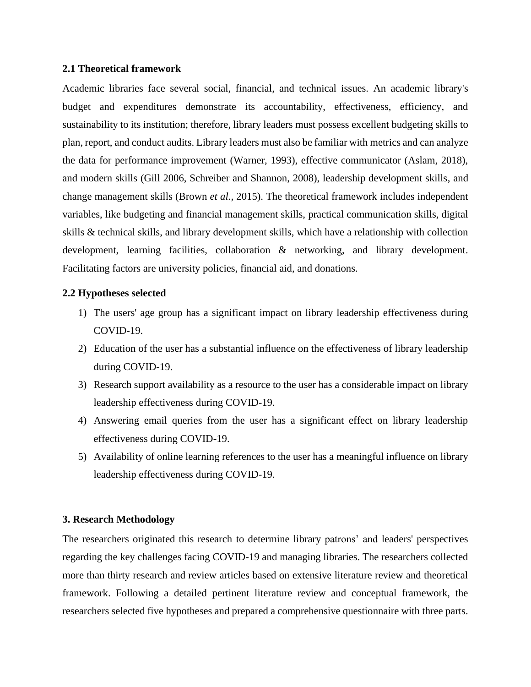#### **2.1 Theoretical framework**

Academic libraries face several social, financial, and technical issues. An academic library's budget and expenditures demonstrate its accountability, effectiveness, efficiency, and sustainability to its institution; therefore, library leaders must possess excellent budgeting skills to plan, report, and conduct audits. Library leaders must also be familiar with metrics and can analyze the data for performance improvement (Warner, 1993), effective communicator (Aslam, 2018), and modern skills (Gill 2006, Schreiber and Shannon, 2008), leadership development skills, and change management skills (Brown *et al.,* 2015). The theoretical framework includes independent variables, like budgeting and financial management skills, practical communication skills, digital skills & technical skills, and library development skills, which have a relationship with collection development, learning facilities, collaboration & networking, and library development. Facilitating factors are university policies, financial aid, and donations.

#### **2.2 Hypotheses selected**

- 1) The users' age group has a significant impact on library leadership effectiveness during COVID-19.
- 2) Education of the user has a substantial influence on the effectiveness of library leadership during COVID-19.
- 3) Research support availability as a resource to the user has a considerable impact on library leadership effectiveness during COVID-19.
- 4) Answering email queries from the user has a significant effect on library leadership effectiveness during COVID-19.
- 5) Availability of online learning references to the user has a meaningful influence on library leadership effectiveness during COVID-19.

#### **3. Research Methodology**

The researchers originated this research to determine library patrons' and leaders' perspectives regarding the key challenges facing COVID-19 and managing libraries. The researchers collected more than thirty research and review articles based on extensive literature review and theoretical framework. Following a detailed pertinent literature review and conceptual framework, the researchers selected five hypotheses and prepared a comprehensive questionnaire with three parts.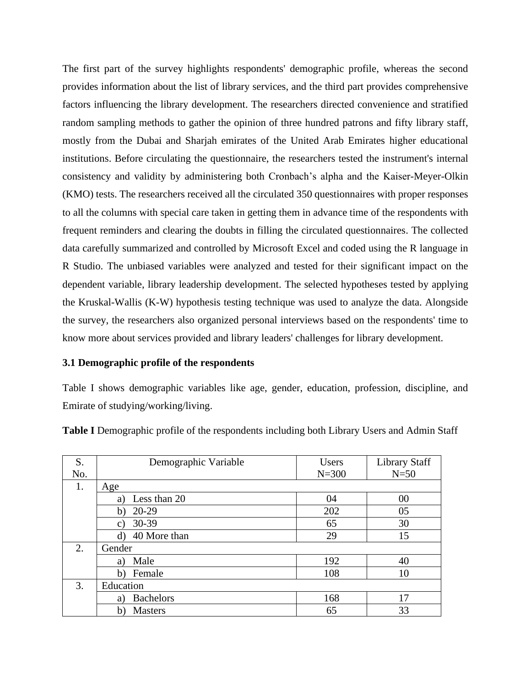The first part of the survey highlights respondents' demographic profile, whereas the second provides information about the list of library services, and the third part provides comprehensive factors influencing the library development. The researchers directed convenience and stratified random sampling methods to gather the opinion of three hundred patrons and fifty library staff, mostly from the Dubai and Sharjah emirates of the United Arab Emirates higher educational institutions. Before circulating the questionnaire, the researchers tested the instrument's internal consistency and validity by administering both Cronbach's alpha and the Kaiser-Meyer-Olkin (KMO) tests. The researchers received all the circulated 350 questionnaires with proper responses to all the columns with special care taken in getting them in advance time of the respondents with frequent reminders and clearing the doubts in filling the circulated questionnaires. The collected data carefully summarized and controlled by Microsoft Excel and coded using the R language in R Studio. The unbiased variables were analyzed and tested for their significant impact on the dependent variable, library leadership development. The selected hypotheses tested by applying the Kruskal-Wallis (K-W) hypothesis testing technique was used to analyze the data. Alongside the survey, the researchers also organized personal interviews based on the respondents' time to know more about services provided and library leaders' challenges for library development.

#### **3.1 Demographic profile of the respondents**

Table I shows demographic variables like age, gender, education, profession, discipline, and Emirate of studying/working/living.

| S.  | Demographic Variable   | Users     | <b>Library Staff</b> |
|-----|------------------------|-----------|----------------------|
| No. |                        | $N = 300$ | $N=50$               |
| 1.  | Age                    |           |                      |
|     | Less than 20<br>a)     | 04        | 00                   |
|     | 20-29<br>b)            | 202       | 05                   |
|     | 30-39<br>C)            | 65        | 30                   |
|     | 40 More than<br>d)     | 29        | 15                   |
| 2.  | Gender                 |           |                      |
|     | Male<br>a)             | 192       | 40                   |
|     | Female<br>b)           | 108       | 10                   |
| 3.  | Education              |           |                      |
|     | <b>Bachelors</b><br>a) | 168       | 17                   |
|     | <b>Masters</b><br>b)   | 65        | 33                   |

**Table I** Demographic profile of the respondents including both Library Users and Admin Staff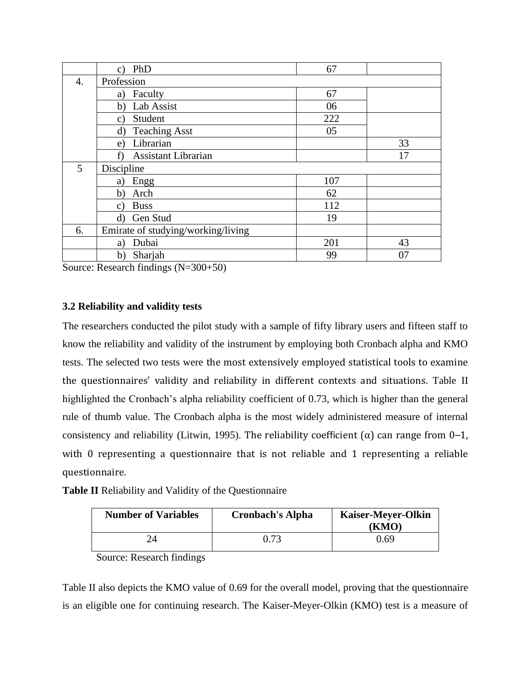|    | PhD<br>C)                          | 67  |    |
|----|------------------------------------|-----|----|
| 4. | Profession                         |     |    |
|    | Faculty<br>a)                      | 67  |    |
|    | Lab Assist<br>b)                   | 06  |    |
|    | Student<br>C)                      | 222 |    |
|    | <b>Teaching Asst</b><br>d)         | 05  |    |
|    | Librarian<br>e)                    |     | 33 |
|    | <b>Assistant Librarian</b><br>f)   |     | 17 |
| 5  | Discipline                         |     |    |
|    | Engg<br>a)                         | 107 |    |
|    | Arch<br>b)                         | 62  |    |
|    | <b>Buss</b><br>C)                  | 112 |    |
|    | Gen Stud<br>$\rm d$                | 19  |    |
| 6. | Emirate of studying/working/living |     |    |
|    | Dubai<br>a)                        | 201 | 43 |
|    | Sharjah<br>b)                      | 99  | 07 |

Source: Research findings (N=300+50)

### **3.2 Reliability and validity tests**

The researchers conducted the pilot study with a sample of fifty library users and fifteen staff to know the reliability and validity of the instrument by employing both Cronbach alpha and KMO tests. The selected two tests were the most extensively employed statistical tools to examine the questionnaires' validity and reliability in different contexts and situations. Table II highlighted the Cronbach's alpha reliability coefficient of 0.73, which is higher than the general rule of thumb value. The Cronbach alpha is the most widely administered measure of internal consistency and reliability (Litwin, 1995). The reliability coefficient ( $\alpha$ ) can range from 0–1, with 0 representing a questionnaire that is not reliable and 1 representing a reliable questionnaire.

|  |  |  | Table II Reliability and Validity of the Questionnaire |  |  |  |  |  |
|--|--|--|--------------------------------------------------------|--|--|--|--|--|
|--|--|--|--------------------------------------------------------|--|--|--|--|--|

| <b>Number of Variables</b> | <b>Cronbach's Alpha</b> | <b>Kaiser-Meyer-Olkin</b><br>(KMO) |
|----------------------------|-------------------------|------------------------------------|
|                            |                         | 0.69                               |

Source: Research findings

Table II also depicts the KMO value of 0.69 for the overall model, proving that the questionnaire is an eligible one for continuing research. The Kaiser-Meyer-Olkin (KMO) test is a measure of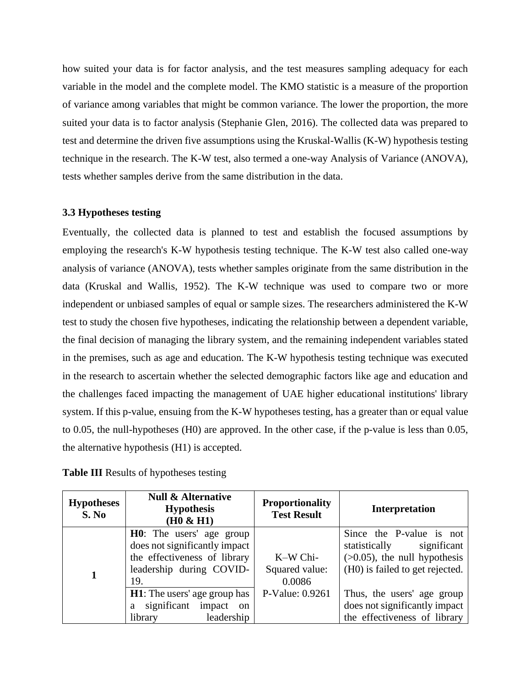how suited your data is for factor analysis, and the test measures sampling adequacy for each variable in the model and the complete model. The KMO statistic is a measure of the proportion of variance among variables that might be common variance. The lower the proportion, the more suited your data is to factor analysis (Stephanie Glen, 2016). The collected data was prepared to test and determine the driven five assumptions using the Kruskal-Wallis (K-W) hypothesis testing technique in the research. The K-W test, also termed a one-way Analysis of Variance (ANOVA), tests whether samples derive from the same distribution in the data.

#### **3.3 Hypotheses testing**

Eventually, the collected data is planned to test and establish the focused assumptions by employing the research's K-W hypothesis testing technique. The K-W test also called one-way analysis of variance (ANOVA), tests whether samples originate from the same distribution in the data (Kruskal and Wallis, 1952). The K-W technique was used to compare two or more independent or unbiased samples of equal or sample sizes. The researchers administered the K-W test to study the chosen five hypotheses, indicating the relationship between a dependent variable, the final decision of managing the library system, and the remaining independent variables stated in the premises, such as age and education. The K-W hypothesis testing technique was executed in the research to ascertain whether the selected demographic factors like age and education and the challenges faced impacting the management of UAE higher educational institutions' library system. If this p-value, ensuing from the K-W hypotheses testing, has a greater than or equal value to 0.05, the null-hypotheses (H0) are approved. In the other case, if the p-value is less than 0.05, the alternative hypothesis (H1) is accepted.

| <b>Hypotheses</b><br>S. No | <b>Null &amp; Alternative</b><br><b>Hypothesis</b><br>(H0 & H1)                                   | <b>Proportionality</b><br><b>Test Result</b> | <b>Interpretation</b>                                                                   |
|----------------------------|---------------------------------------------------------------------------------------------------|----------------------------------------------|-----------------------------------------------------------------------------------------|
|                            | <b>H0</b> : The users' age group<br>does not significantly impact<br>the effectiveness of library | K-W Chi-                                     | Since the P-value is not<br>statistically significant<br>$(0.05)$ , the null hypothesis |
|                            | leadership during COVID-<br>19.                                                                   | Squared value:<br>0.0086                     | (H0) is failed to get rejected.                                                         |
|                            | <b>H1</b> : The users' age group has<br>impact<br>significant<br>on<br>a                          | P-Value: 0.9261                              | Thus, the users' age group<br>does not significantly impact                             |
|                            | leadership<br>library                                                                             |                                              | the effectiveness of library                                                            |

**Table III** Results of hypotheses testing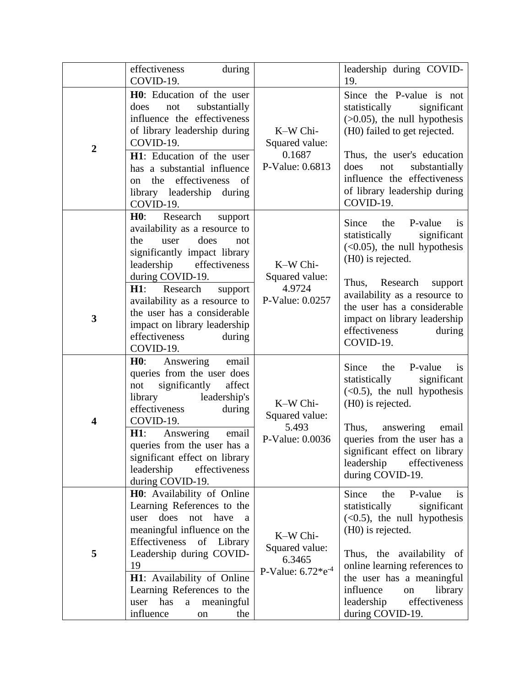|                | effectiveness<br>during<br>COVID-19.                                                                                                                                                                                                                                                                                                               |                                                                        | leadership during COVID-<br>19.                                                                                                                                                                                                                                                                   |
|----------------|----------------------------------------------------------------------------------------------------------------------------------------------------------------------------------------------------------------------------------------------------------------------------------------------------------------------------------------------------|------------------------------------------------------------------------|---------------------------------------------------------------------------------------------------------------------------------------------------------------------------------------------------------------------------------------------------------------------------------------------------|
| $\overline{2}$ | H0: Education of the user<br>substantially<br>does<br>not<br>influence the effectiveness<br>of library leadership during<br>COVID-19.<br>H1: Education of the user<br>has a substantial influence<br>the effectiveness<br>of<br>on.<br>library leadership during<br>COVID-19.                                                                      | K-W Chi-<br>Squared value:<br>0.1687<br>P-Value: 0.6813                | Since the P-value is not<br>statistically<br>significant<br>$(>0.05)$ , the null hypothesis<br>(H0) failed to get rejected.<br>Thus, the user's education<br>substantially<br>does<br>not<br>influence the effectiveness<br>of library leadership during<br>COVID-19.                             |
| 3              | H0:<br>Research<br>support<br>availability as a resource to<br>does<br>the<br>user<br>not<br>significantly impact library<br>leadership<br>effectiveness<br>during COVID-19.<br>H1:<br>Research<br>support<br>availability as a resource to<br>the user has a considerable<br>impact on library leadership<br>effectiveness<br>during<br>COVID-19. | K-W Chi-<br>Squared value:<br>4.9724<br>P-Value: 0.0257                | Since<br>the P-value<br>$\overline{1}S$<br>statistically<br>significant<br>(<0.05), the null hypothesis<br>(H0) is rejected.<br>Thus, Research<br>support<br>availability as a resource to<br>the user has a considerable<br>impact on library leadership<br>effectiveness<br>during<br>COVID-19. |
| 4              | H0: Answering<br>email<br>queries from the user does<br>significantly<br>affect<br>not<br>leadership's<br>library<br>effectiveness<br>during<br>COVID-19.<br>Answering<br>H1:<br>email<br>queries from the user has a<br>significant effect on library<br>leadership<br>effectiveness<br>during COVID-19.                                          | K-W Chi-<br>Squared value:<br>5.493<br>P-Value: 0.0036                 | Since<br>the P-value<br>is<br>statistically<br>significant<br>(<0.5), the null hypothesis<br>(H0) is rejected.<br>Thus,<br>answering<br>email<br>queries from the user has a<br>significant effect on library<br>leadership<br>effectiveness<br>during COVID-19.                                  |
| 5              | H0: Availability of Online<br>Learning References to the<br>does not have<br>user<br>a<br>meaningful influence on the<br>Effectiveness of Library<br>Leadership during COVID-<br>19<br>H1: Availability of Online<br>Learning References to the<br>user has<br>a meaningful<br>influence<br>the<br>on                                              | K-W Chi-<br>Squared value:<br>6.3465<br>P-Value: $6.72 \text{*}e^{-4}$ | Since<br>the<br>P-value<br>is<br>statistically<br>significant<br>(<0.5), the null hypothesis<br>(H0) is rejected.<br>Thus, the availability of<br>online learning references to<br>the user has a meaningful<br>influence<br>library<br>on<br>effectiveness<br>leadership<br>during COVID-19.     |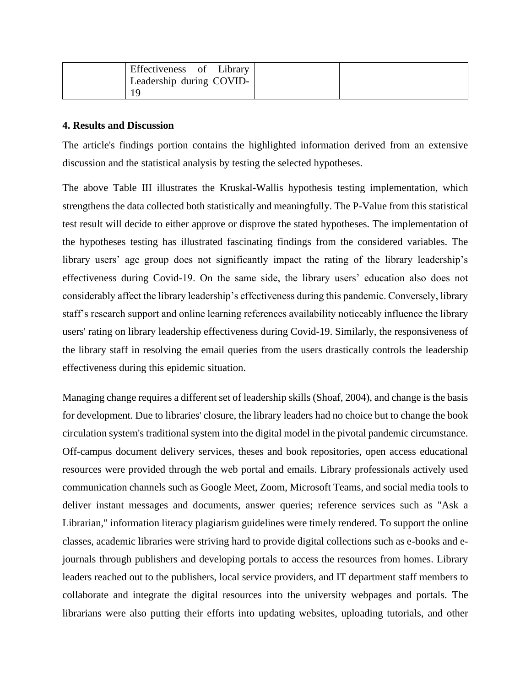| Effectiveness of Library |  |
|--------------------------|--|
| Leadership during COVID- |  |
|                          |  |

#### **4. Results and Discussion**

The article's findings portion contains the highlighted information derived from an extensive discussion and the statistical analysis by testing the selected hypotheses.

The above Table III illustrates the Kruskal-Wallis hypothesis testing implementation, which strengthens the data collected both statistically and meaningfully. The P-Value from this statistical test result will decide to either approve or disprove the stated hypotheses. The implementation of the hypotheses testing has illustrated fascinating findings from the considered variables. The library users' age group does not significantly impact the rating of the library leadership's effectiveness during Covid-19. On the same side, the library users' education also does not considerably affect the library leadership's effectiveness during this pandemic. Conversely, library staff's research support and online learning references availability noticeably influence the library users' rating on library leadership effectiveness during Covid-19. Similarly, the responsiveness of the library staff in resolving the email queries from the users drastically controls the leadership effectiveness during this epidemic situation.

Managing change requires a different set of leadership skills (Shoaf, 2004), and change is the basis for development. Due to libraries' closure, the library leaders had no choice but to change the book circulation system's traditional system into the digital model in the pivotal pandemic circumstance. Off-campus document delivery services, theses and book repositories, open access educational resources were provided through the web portal and emails. Library professionals actively used communication channels such as Google Meet, Zoom, Microsoft Teams, and social media tools to deliver instant messages and documents, answer queries; reference services such as "Ask a Librarian," information literacy plagiarism guidelines were timely rendered. To support the online classes, academic libraries were striving hard to provide digital collections such as e-books and ejournals through publishers and developing portals to access the resources from homes. Library leaders reached out to the publishers, local service providers, and IT department staff members to collaborate and integrate the digital resources into the university webpages and portals. The librarians were also putting their efforts into updating websites, uploading tutorials, and other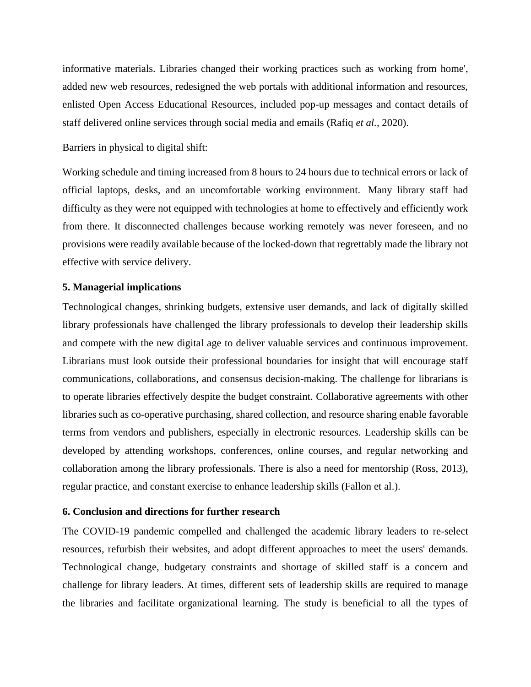informative materials. Libraries changed their working practices such as working from home', added new web resources, redesigned the web portals with additional information and resources, enlisted Open Access Educational Resources, included pop-up messages and contact details of staff delivered online services through social media and emails (Rafiq *et al.,* 2020).

#### Barriers in physical to digital shift:

Working schedule and timing increased from 8 hours to 24 hours due to technical errors or lack of official laptops, desks, and an uncomfortable working environment. Many library staff had difficulty as they were not equipped with technologies at home to effectively and efficiently work from there. It disconnected challenges because working remotely was never foreseen, and no provisions were readily available because of the locked-down that regrettably made the library not effective with service delivery.

#### **5. Managerial implications**

Technological changes, shrinking budgets, extensive user demands, and lack of digitally skilled library professionals have challenged the library professionals to develop their leadership skills and compete with the new digital age to deliver valuable services and continuous improvement. Librarians must look outside their professional boundaries for insight that will encourage staff communications, collaborations, and consensus decision-making. The challenge for librarians is to operate libraries effectively despite the budget constraint. Collaborative agreements with other libraries such as co-operative purchasing, shared collection, and resource sharing enable favorable terms from vendors and publishers, especially in electronic resources. Leadership skills can be developed by attending workshops, conferences, online courses, and regular networking and collaboration among the library professionals. There is also a need for mentorship (Ross, 2013), regular practice, and constant exercise to enhance leadership skills (Fallon et al.).

#### **6. Conclusion and directions for further research**

The COVID-19 pandemic compelled and challenged the academic library leaders to re-select resources, refurbish their websites, and adopt different approaches to meet the users' demands. Technological change, budgetary constraints and shortage of skilled staff is a concern and challenge for library leaders. At times, different sets of leadership skills are required to manage the libraries and facilitate organizational learning. The study is beneficial to all the types of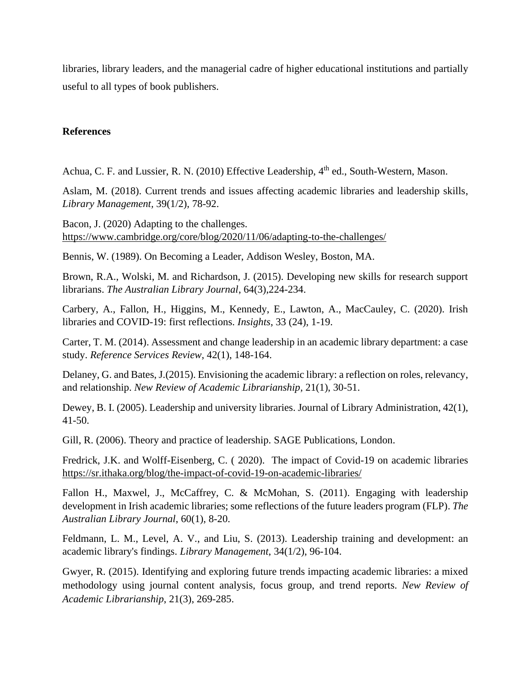libraries, library leaders, and the managerial cadre of higher educational institutions and partially useful to all types of book publishers.

## **References**

Achua, C. F. and Lussier, R. N. (2010) Effective Leadership, 4<sup>th</sup> ed., South-Western, Mason.

Aslam, M. (2018). Current trends and issues affecting academic libraries and leadership skills, *Library Management,* 39(1/2), 78-92.

Bacon, J. (2020) Adapting to the challenges. <https://www.cambridge.org/core/blog/2020/11/06/adapting-to-the-challenges/>

Bennis, W. (1989). On Becoming a Leader, Addison Wesley, Boston, MA.

Brown, R.A., Wolski, M. and Richardson, J. (2015). Developing new skills for research support librarians. *The Australian Library Journal*, 64(3),224-234.

Carbery, A., Fallon, H., Higgins, M., Kennedy, E., Lawton, A., MacCauley, C. (2020). Irish libraries and COVID-19: first reflections. *Insights*, 33 (24), 1-19.

Carter, T. M. (2014). Assessment and change leadership in an academic library department: a case study. *Reference Services Review*, 42(1), 148-164.

Delaney, G. and Bates, J.(2015). Envisioning the academic library: a reflection on roles, relevancy, and relationship. *New Review of Academic Librarianship,* 21(1), 30-51.

Dewey, B. I. (2005). Leadership and university libraries. Journal of Library Administration, 42(1), 41-50.

Gill, R. (2006). Theory and practice of leadership. SAGE Publications, London.

Fredrick, J.K. and Wolff-Eisenberg, C. ( 2020). The impact of Covid-19 on academic libraries <https://sr.ithaka.org/blog/the-impact-of-covid-19-on-academic-libraries/>

Fallon H., Maxwel, J., McCaffrey, C. & McMohan, S. (2011). Engaging with leadership development in Irish academic libraries; some reflections of the future leaders program (FLP). *The Australian Library Journal*, 60(1), 8-20.

Feldmann, L. M., Level, A. V., and Liu, S. (2013). Leadership training and development: an academic library's findings. *Library Management*, 34(1/2), 96-104.

Gwyer, R. (2015). Identifying and exploring future trends impacting academic libraries: a mixed methodology using journal content analysis, focus group, and trend reports. *New Review of Academic Librarianship*, 21(3), 269-285.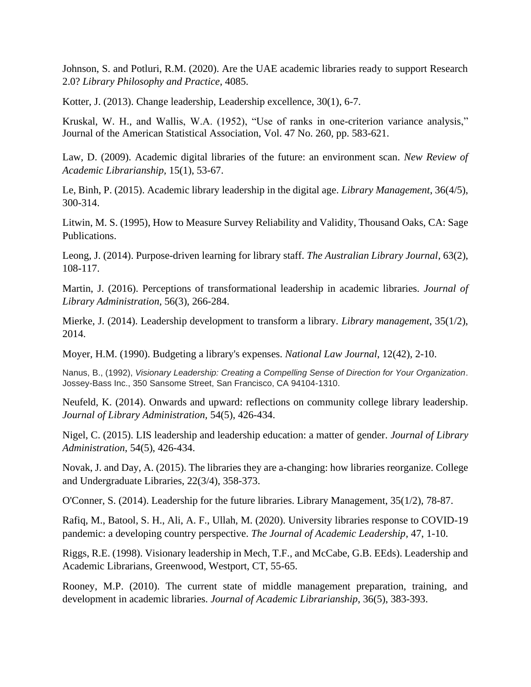Johnson, S. and Potluri, R.M. (2020). Are the UAE academic libraries ready to support Research 2.0? *Library Philosophy and Practice*, 4085.

Kotter, J. (2013). Change leadership, Leadership excellence, 30(1), 6-7.

Kruskal, W. H., and Wallis, W.A. (1952), "Use of ranks in one-criterion variance analysis," Journal of the American Statistical Association, Vol. 47 No. 260, pp. 583-621.

Law, D. (2009). Academic digital libraries of the future: an environment scan. *New Review of Academic Librarianship,* 15(1), 53-67.

Le, Binh, P. (2015). Academic library leadership in the digital age. *Library Management*, 36(4/5), 300-314.

Litwin, M. S. (1995), How to Measure Survey Reliability and Validity, Thousand Oaks, CA: Sage Publications.

Leong, J. (2014). Purpose-driven learning for library staff. *The Australian Library Journal,* 63(2), 108-117.

Martin, J. (2016). Perceptions of transformational leadership in academic libraries. *Journal of Library Administration,* 56(3), 266-284.

Mierke, J. (2014). Leadership development to transform a library. *Library management*, 35(1/2), 2014.

Moyer, H.M. (1990). Budgeting a library's expenses. *National Law Journal*, 12(42), 2-10.

Nanus, B., (1992), *Visionary Leadership: Creating a Compelling Sense of Direction for Your Organization*. Jossey-Bass Inc., 350 Sansome Street, San Francisco, CA 94104-1310.

Neufeld, K. (2014). Onwards and upward: reflections on community college library leadership. *Journal of Library Administration,* 54(5), 426-434.

Nigel, C. (2015). LIS leadership and leadership education: a matter of gender. *Journal of Library Administration*, 54(5), 426-434.

Novak, J. and Day, A. (2015). The libraries they are a-changing: how libraries reorganize. College and Undergraduate Libraries, 22(3/4), 358-373.

O'Conner, S. (2014). Leadership for the future libraries. Library Management, 35(1/2), 78-87.

Rafiq, M., Batool, S. H., Ali, A. F., Ullah, M. (2020). University libraries response to COVID-19 pandemic: a developing country perspective. *The Journal of Academic Leadership,* 47, 1-10.

Riggs, R.E. (1998). Visionary leadership in Mech, T.F., and McCabe, G.B. EEds). Leadership and Academic Librarians, Greenwood, Westport, CT, 55-65.

Rooney, M.P. (2010). The current state of middle management preparation, training, and development in academic libraries. *Journal of Academic Librarianship*, 36(5), 383-393.